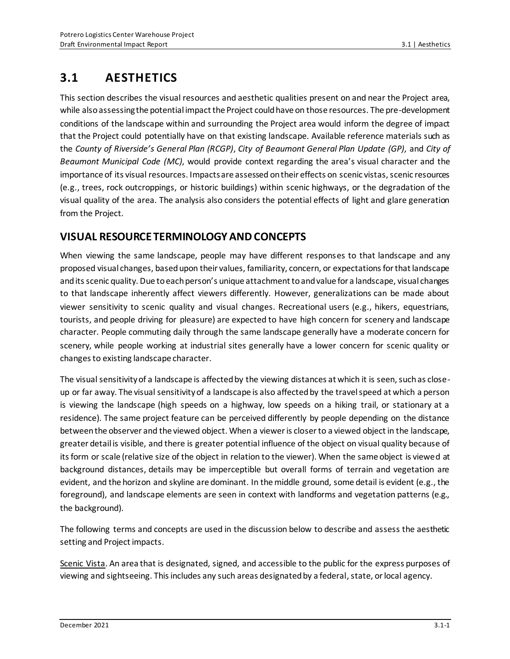# **3.1 AESTHETICS**

This section describes the visual resources and aesthetic qualities present on and near the Project area, while also assessing the potential impact the Project could have on those resources. The pre-development conditions of the landscape within and surrounding the Project area would inform the degree of impact that the Project could potentially have on that existing landscape. Available reference materials such as the *County of Riverside's General Plan (RCGP)*, *City of Beaumont General Plan Update (GP)*, and *City of Beaumont Municipal Code (MC)*, would provide context regarding the area's visual character and the importance of its visual resources. Impacts are assessed on their effects on scenic vistas, scenic resources (e.g., trees, rock outcroppings, or historic buildings) within scenic highways, or the degradation of the visual quality of the area. The analysis also considers the potential effects of light and glare generation from the Project.

## **VISUAL RESOURCE TERMINOLOGY AND CONCEPTS**

When viewing the same landscape, people may have different responses to that landscape and any proposed visual changes, based upon their values, familiarity, concern, or expectations for that landscape and its scenic quality. Due to each person's unique attachment to and value for a landscape, visual changes to that landscape inherently affect viewers differently. However, generalizations can be made about viewer sensitivity to scenic quality and visual changes. Recreational users (e.g., hikers, equestrians, tourists, and people driving for pleasure) are expected to have high concern for scenery and landscape character. People commuting daily through the same landscape generally have a moderate concern for scenery, while people working at industrial sites generally have a lower concern for scenic quality or changes to existing landscape character.

The visual sensitivity of a landscape is affected by the viewing distances at which it is seen, such as closeup or far away. The visual sensitivity of a landscape is also affected by the travel speed at which a person is viewing the landscape (high speeds on a highway, low speeds on a hiking trail, or stationary at a residence). The same project feature can be perceived differently by people depending on the distance between the observer and the viewed object. When a viewer is closer to a viewed object in the landscape, greater detail is visible, and there is greater potential influence of the object on visual quality because of its form or scale (relative size of the object in relation to the viewer). When the same object is viewed at background distances, details may be imperceptible but overall forms of terrain and vegetation are evident, and the horizon and skyline are dominant. In the middle ground, some detail is evident (e.g., the foreground), and landscape elements are seen in context with landforms and vegetation patterns (e.g., the background).

The following terms and concepts are used in the discussion below to describe and assess the aesthetic setting and Project impacts.

Scenic Vista. An area that is designated, signed, and accessible to the public for the express purposes of viewing and sightseeing. This includes any such areas designated by a federal, state, or local agency.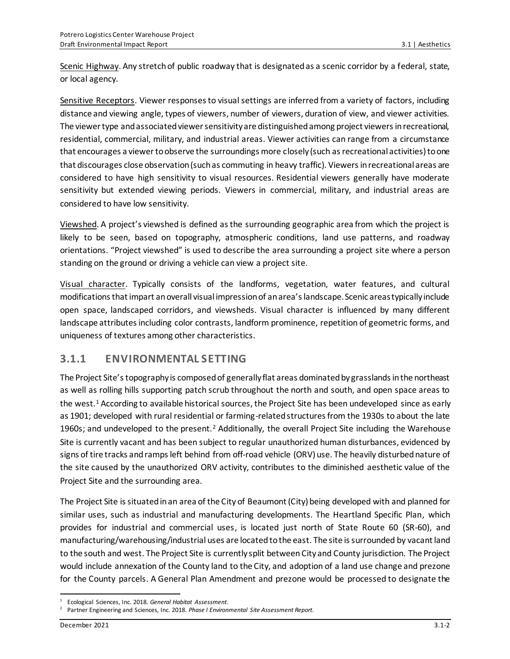Scenic Highway. Any stretch of public roadway that is designated as a scenic corridor by a federal, state, or local agency.

Sensitive Receptors. Viewer responses to visual settings are inferred from a variety of factors, including distance and viewing angle, types of viewers, number of viewers, duration of view, and viewer activities. The viewer type and associated viewer sensitivity are distinguished among project viewers in recreational, residential, commercial, military, and industrial areas. Viewer activities can range from a circumstance that encourages a viewer to observe the surroundings more closely (such as recreational activities) to one that discourages close observation (such as commuting in heavy traffic). Viewers in recreational areas are considered to have high sensitivity to visual resources. Residential viewers generally have moderate sensitivity but extended viewing periods. Viewers in commercial, military, and industrial areas are considered to have low sensitivity.

Viewshed. A project's viewshed is defined as the surrounding geographic area from which the project is likely to be seen, based on topography, atmospheric conditions, land use patterns, and roadway orientations. "Project viewshed" is used to describe the area surrounding a project site where a person standing on the ground or driving a vehicle can view a project site.

Visual character. Typically consists of the landforms, vegetation, water features, and cultural modifications that impart an overall visual impression of an area's landscape. Scenic areas typically include open space, landscaped corridors, and viewsheds. Visual character is influenced by many different landscape attributes including color contrasts, landform prominence, repetition of geometric forms, and uniqueness of textures among other characteristics.

### **3.1.1 ENVIRONMENTAL SETTING**

The Project Site's topography is composed of generally flat areas dominated by grasslands in the northeast as well as rolling hills supporting patch scrub throughout the north and south, and open space areas to the west.<sup>1</sup> According to available historical sources, the Project Site has been undeveloped since as early as 1901; developed with rural residential or farming-related structures from the 1930s to about the late 1960s; and undeveloped to the present.<sup>2</sup> Additionally, the overall Project Site including the Warehouse Site is currently vacant and has been subject to regular unauthorized human disturbances, evidenced by signs of tire tracks and ramps left behind from off-road vehicle (ORV) use. The heavily disturbed nature of the site caused by the unauthorized ORV activity, contributes to the diminished aesthetic value of the Project Site and the surrounding area.

The Project Site is situated in an area of the City of Beaumont (City) being developed with and planned for similar uses, such as industrial and manufacturing developments. The Heartland Specific Plan, which provides for industrial and commercial uses, is located just north of State Route 60 (SR-60), and manufacturing/warehousing/industrial uses are located to the east. The site is surrounded by vacant land to the south and west. The Project Site is currently split between City and County jurisdiction. The Project would include annexation of the County land to the City, and adoption of a land use change and prezone for the County parcels. A General Plan Amendment and prezone would be processed to designate the

<sup>1</sup> Ecological Sciences, Inc. 2018. *General Habitat Assessment*.

<sup>2</sup> Partner Engineering and Sciences, Inc. 2018. *Phase I Environmental Site Assessment Report*.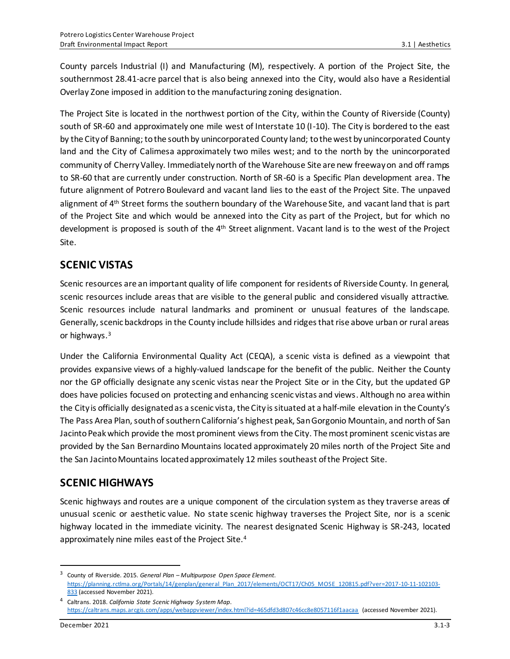County parcels Industrial (I) and Manufacturing (M), respectively. A portion of the Project Site, the southernmost 28.41-acre parcel that is also being annexed into the City, would also have a Residential Overlay Zone imposed in addition to the manufacturing zoning designation.

The Project Site is located in the northwest portion of the City, within the County of Riverside (County) south of SR-60 and approximately one mile west of Interstate 10 (I-10). The City is bordered to the east by the City of Banning; to the south by unincorporated County land; to the west by unincorporated County land and the City of Calimesa approximately two miles west; and to the north by the unincorporated community of Cherry Valley. Immediately north of the Warehouse Site are new freeway on and off ramps to SR-60 that are currently under construction. North of SR-60 is a Specific Plan development area. The future alignment of Potrero Boulevard and vacant land lies to the east of the Project Site. The unpaved alignment of 4<sup>th</sup> Street forms the southern boundary of the Warehouse Site, and vacant land that is part of the Project Site and which would be annexed into the City as part of the Project, but for which no development is proposed is south of the 4<sup>th</sup> Street alignment. Vacant land is to the west of the Project Site.

## **SCENIC VISTAS**

Scenic resources are an important quality of life component for residents of Riverside County. In general, scenic resources include areas that are visible to the general public and considered visually attractive. Scenic resources include natural landmarks and prominent or unusual features of the landscape. Generally, scenic backdrops in the County include hillsides and ridges that rise above urban or rural areas or highways. 3

Under the California Environmental Quality Act (CEQA), a scenic vista is defined as a viewpoint that provides expansive views of a highly-valued landscape for the benefit of the public. Neither the County nor the GP officially designate any scenic vistas near the Project Site or in the City, but the updated GP does have policies focused on protecting and enhancing scenic vistas and views. Although no area within the City is officially designated as a scenic vista, the City is situated at a half-mile elevation in the County's The Pass Area Plan, south of southern California's highest peak, San Gorgonio Mountain, and north of San Jacinto Peakwhich provide the most prominent views from the City. The most prominent scenic vistas are provided by the San Bernardino Mountains located approximately 20 miles north of the Project Site and the San Jacinto Mountains located approximately 12 miles southeast ofthe Project Site.

### **SCENIC HIGHWAYS**

Scenic highways and routes are a unique component of the circulation system as they traverse areas of unusual scenic or aesthetic value. No state scenic highway traverses the Project Site, nor is a scenic highway located in the immediate vicinity. The nearest designated Scenic Highway is SR-243, located approximately nine miles east of the Project Site. 4

<sup>3</sup> County of Riverside. 2015. *General Plan – Multipurpose Open Space Element*. [https://planning.rctlma.org/Portals/14/genplan/general\\_Plan\\_2017/elements/OCT17/Ch05\\_MOSE\\_120815.pdf?ver=2017-10-11-102103-](https://planning.rctlma.org/Portals/14/genplan/general_Plan_2017/elements/OCT17/Ch05_MOSE_120815.pdf?ver=2017-10-11-102103-833) [833](https://planning.rctlma.org/Portals/14/genplan/general_Plan_2017/elements/OCT17/Ch05_MOSE_120815.pdf?ver=2017-10-11-102103-833) (accessed November 2021).

<sup>4</sup> Caltrans. 2018. *California State Scenic Highway System Map*. <https://caltrans.maps.arcgis.com/apps/webappviewer/index.html?id=465dfd3d807c46cc8e8057116f1aacaa> (accessed November 2021).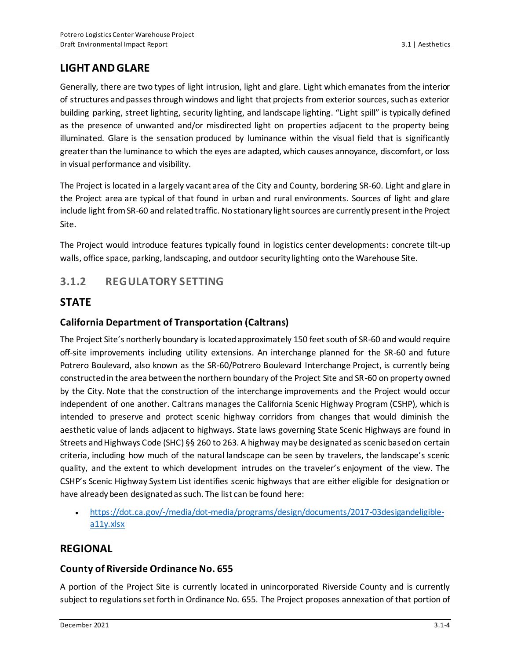## **LIGHT AND GLARE**

Generally, there are two types of light intrusion, light and glare. Light which emanates from the interior of structures and passes through windows and light that projects from exterior sources, such as exterior building parking, street lighting, security lighting, and landscape lighting. "Light spill" is typically defined as the presence of unwanted and/or misdirected light on properties adjacent to the property being illuminated. Glare is the sensation produced by luminance within the visual field that is significantly greater than the luminance to which the eyes are adapted, which causes annoyance, discomfort, or loss in visual performance and visibility.

The Project is located in a largely vacant area of the City and County, bordering SR-60. Light and glare in the Project area are typical of that found in urban and rural environments. Sources of light and glare include light from SR-60 and related traffic. No stationary light sources are currently present in the Project Site.

The Project would introduce features typically found in logistics center developments: concrete tilt-up walls, office space, parking, landscaping, and outdoor security lighting onto the Warehouse Site.

## **3.1.2 REGULATORY SETTING**

### **STATE**

### **California Department of Transportation (Caltrans)**

The Project Site's northerly boundary is located approximately 150 feet south of SR-60 and would require off-site improvements including utility extensions. An interchange planned for the SR-60 and future Potrero Boulevard, also known as the SR-60/Potrero Boulevard Interchange Project, is currently being constructed in the area between the northern boundary of the Project Site and SR-60 on property owned by the City. Note that the construction of the interchange improvements and the Project would occur independent of one another. Caltrans manages the California Scenic Highway Program (CSHP), which is intended to preserve and protect scenic highway corridors from changes that would diminish the aesthetic value of lands adjacent to highways. State laws governing State Scenic Highways are found in Streets and Highways Code (SHC) §§ 260 to 263. A highway may be designated as scenic based on certain criteria, including how much of the natural landscape can be seen by travelers, the landscape's scenic quality, and the extent to which development intrudes on the traveler's enjoyment of the view. The CSHP's Scenic Highway System List identifies scenic highways that are either eligible for designation or have already been designated as such. The list can be found here:

• [https://dot.ca.gov/-/media/dot-media/programs/design/documents/2017-03desigandeligible](https://dot.ca.gov/-/media/dot-media/programs/design/documents/2017-03desigandeligible-a11y.xlsx)[a11y.xlsx](https://dot.ca.gov/-/media/dot-media/programs/design/documents/2017-03desigandeligible-a11y.xlsx)

### **REGIONAL**

#### **County of Riverside Ordinance No. 655**

A portion of the Project Site is currently located in unincorporated Riverside County and is currently subject to regulations set forth in Ordinance No. 655. The Project proposes annexation of that portion of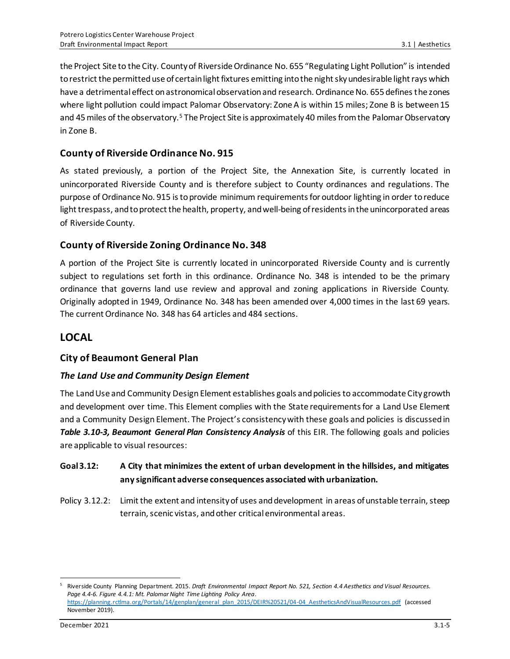the Project Site to the City. County of Riverside Ordinance No. 655 "Regulating Light Pollution" is intended to restrict the permitted use of certain light fixtures emitting into the night sky undesirable light rays which have a detrimental effect on astronomical observation and research. Ordinance No. 655 defines the zones where light pollution could impact Palomar Observatory: Zone A is within 15 miles; Zone B is between 15 and 45 miles of the observatory.<sup>5</sup> The Project Site is approximately 40 miles from the Palomar Observatory in Zone B.

#### **County of Riverside Ordinance No. 915**

As stated previously, a portion of the Project Site, the Annexation Site, is currently located in unincorporated Riverside County and is therefore subject to County ordinances and regulations. The purpose of Ordinance No. 915 is to provide minimum requirements for outdoor lighting in order to reduce light trespass, and to protect the health, property, and well-being of residents in the unincorporated areas of Riverside County.

#### **County of Riverside Zoning Ordinance No. 348**

A portion of the Project Site is currently located in unincorporated Riverside County and is currently subject to regulations set forth in this ordinance. Ordinance No. 348 is intended to be the primary ordinance that governs land use review and approval and zoning applications in Riverside County. Originally adopted in 1949, Ordinance No. 348 has been amended over 4,000 times in the last 69 years. The current Ordinance No. 348 has 64 articles and 484 sections.

### **LOCAL**

#### **City of Beaumont General Plan**

#### *The Land Use and Community Design Element*

The Land Use and Community Design Element establishes goals and policies to accommodate City growth and development over time. This Element complies with the State requirements for a Land Use Element and a Community Design Element. The Project's consistency with these goals and policies is discussed in *Table 3.10-3, Beaumont General Plan Consistency Analysis* of this EIR. The following goals and policies are applicable to visual resources:

#### **Goal 3.12: A City that minimizes the extent of urban development in the hillsides, and mitigates any significant adverse consequences associated with urbanization.**

Policy 3.12.2: Limit the extent and intensity of uses and development in areas of unstable terrain, steep terrain, scenic vistas, and other critical environmental areas.

<sup>5</sup> Riverside County Planning Department. 2015. *Draft Environmental Impact Report No. 521, Section 4.4 Aesthetics and Visual Resources. Page 4.4-6. Figure 4.4.1: Mt. Palomar Night Time Lighting Policy Area*. [https://planning.rctlma.org/Portals/14/genplan/general\\_plan\\_2015/DEIR%20521/04-04\\_AestheticsAndVisualResources.pdf](https://planning.rctlma.org/Portals/14/genplan/general_plan_2015/DEIR%20521/04-04_AestheticsAndVisualResources.pdf) (accessed November 2019).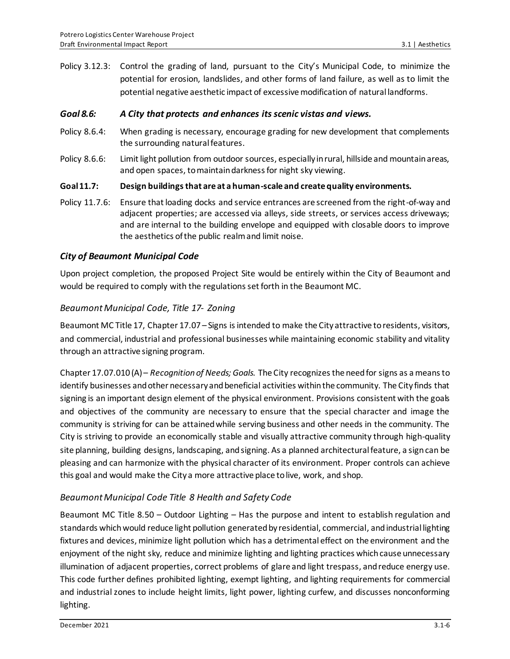Policy 3.12.3: Control the grading of land, pursuant to the City's Municipal Code, to minimize the potential for erosion, landslides, and other forms of land failure, as well as to limit the potential negative aesthetic impact of excessive modification of natural landforms.

#### *Goal 8.6: A City that protects and enhances its scenic vistas and views.*

- Policy 8.6.4: When grading is necessary, encourage grading for new development that complements the surrounding natural features.
- Policy 8.6.6: Limit light pollution from outdoor sources, especially in rural, hillside and mountain areas, and open spaces, to maintain darkness for night sky viewing.

#### **Goal 11.7: Design buildings that are at a human-scale and create quality environments.**

Policy 11.7.6: Ensure that loading docks and service entrances are screened from the right-of-way and adjacent properties; are accessed via alleys, side streets, or services access driveways; and are internal to the building envelope and equipped with closable doors to improve the aesthetics of the public realm and limit noise.

#### *City of Beaumont Municipal Code*

Upon project completion, the proposed Project Site would be entirely within the City of Beaumont and would be required to comply with the regulations set forth in the Beaumont MC.

#### *BeaumontMunicipal Code, Title 17- Zoning*

Beaumont MC Title 17, Chapter 17.07 – Signs is intended to make the City attractive to residents, visitors, and commercial, industrial and professional businesses while maintaining economic stability and vitality through an attractive signing program.

Chapter 17.07.010 (A) – *Recognition of Needs; Goals.* The City recognizes the need for signs as a means to identify businesses and other necessary and beneficial activities within the community. The City finds that signing is an important design element of the physical environment. Provisions consistent with the goals and objectives of the community are necessary to ensure that the special character and image the community is striving for can be attained while serving business and other needs in the community. The City is striving to provide an economically stable and visually attractive community through high-quality site planning, building designs, landscaping, and signing. As a planned architectural feature, a sign can be pleasing and can harmonize with the physical character of its environment. Proper controls can achieve this goal and would make the City a more attractive place to live, work, and shop.

#### *Beaumont Municipal Code Title 8 Health and Safety Code*

Beaumont MC Title 8.50 – Outdoor Lighting – Has the purpose and intent to establish regulation and standards which would reduce light pollution generated by residential, commercial, and industrial lighting fixtures and devices, minimize light pollution which has a detrimental effect on the environment and the enjoyment of the night sky, reduce and minimize lighting and lighting practices which cause unnecessary illumination of adjacent properties, correct problems of glare and light trespass, and reduce energy use. This code further defines prohibited lighting, exempt lighting, and lighting requirements for commercial and industrial zones to include height limits, light power, lighting curfew, and discusses nonconforming lighting.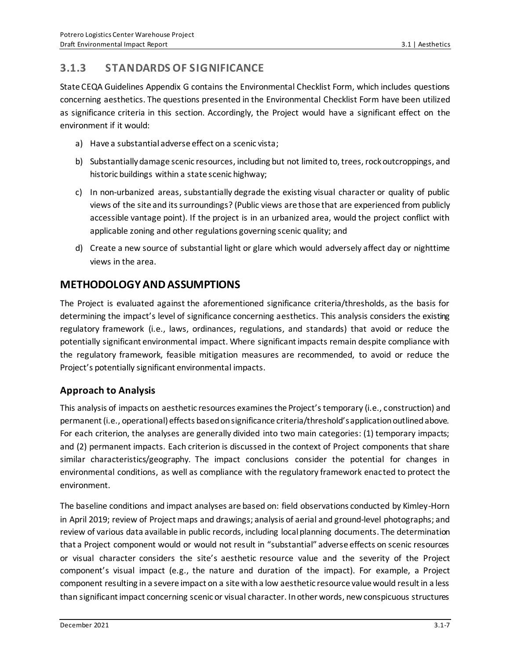## **3.1.3 STANDARDS OF SIGNIFICANCE**

State CEQA Guidelines Appendix G contains the Environmental Checklist Form, which includes questions concerning aesthetics. The questions presented in the Environmental Checklist Form have been utilized as significance criteria in this section. Accordingly, the Project would have a significant effect on the environment if it would:

- a) Have a substantial adverse effect on a scenic vista;
- b) Substantially damage scenic resources, including but not limited to, trees, rock outcroppings, and historic buildings within a state scenic highway;
- c) In non-urbanized areas, substantially degrade the existing visual character or quality of public views of the site and its surroundings? (Public views are those that are experienced from publicly accessible vantage point). If the project is in an urbanized area, would the project conflict with applicable zoning and other regulations governing scenic quality; and
- d) Create a new source of substantial light or glare which would adversely affect day or nighttime views in the area.

## **METHODOLOGY AND ASSUMPTIONS**

The Project is evaluated against the aforementioned significance criteria/thresholds, as the basis for determining the impact's level of significance concerning aesthetics. This analysis considers the existing regulatory framework (i.e., laws, ordinances, regulations, and standards) that avoid or reduce the potentially significant environmental impact. Where significant impacts remain despite compliance with the regulatory framework, feasible mitigation measures are recommended, to avoid or reduce the Project's potentially significant environmental impacts.

### **Approach to Analysis**

This analysis of impacts on aesthetic resources examines the Project's temporary (i.e., construction) and permanent (i.e., operational) effects based on significance criteria/threshold's application outlined above. For each criterion, the analyses are generally divided into two main categories: (1) temporary impacts; and (2) permanent impacts. Each criterion is discussed in the context of Project components that share similar characteristics/geography. The impact conclusions consider the potential for changes in environmental conditions, as well as compliance with the regulatory framework enacted to protect the environment.

The baseline conditions and impact analyses are based on: field observations conducted by Kimley-Horn in April 2019; review of Project maps and drawings; analysis of aerial and ground‐level photographs; and review of various data available in public records, including local planning documents. The determination that a Project component would or would not result in "substantial" adverse effects on scenic resources or visual character considers the site's aesthetic resource value and the severity of the Project component's visual impact (e.g., the nature and duration of the impact). For example, a Project component resulting in a severe impact on a site with a low aesthetic resource value would result in a less than significant impact concerning scenic or visual character. In other words, new conspicuous structures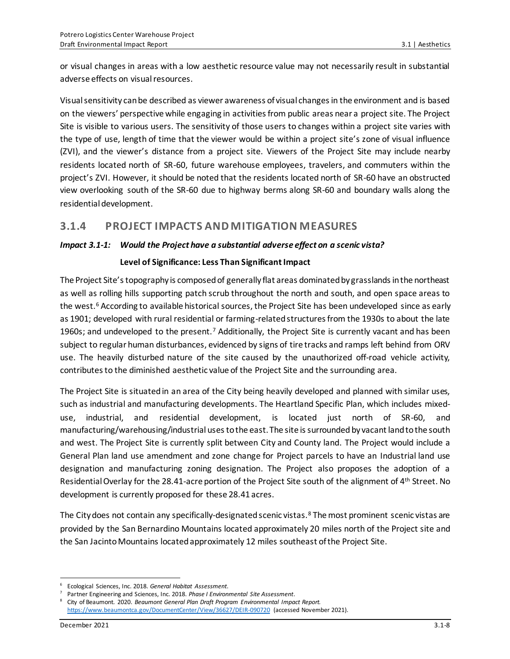or visual changes in areas with a low aesthetic resource value may not necessarily result in substantial adverse effects on visual resources.

Visual sensitivity can be described as viewer awareness of visual changes in the environment and is based on the viewers' perspective while engaging in activities from public areas near a project site. The Project Site is visible to various users. The sensitivity of those users to changes within a project site varies with the type of use, length of time that the viewer would be within a project site's zone of visual influence (ZVI), and the viewer's distance from a project site. Viewers of the Project Site may include nearby residents located north of SR-60, future warehouse employees, travelers, and commuters within the project's ZVI. However, it should be noted that the residents located north of SR-60 have an obstructed view overlooking south of the SR-60 due to highway berms along SR-60 and boundary walls along the residential development.

## **3.1.4 PROJECT IMPACTS AND MITIGATION MEASURES**

#### *Impact 3.1-1: Would the Project have a substantial adverse effect on a scenic vista?*

#### **Level of Significance: Less Than Significant Impact**

The Project Site's topography is composed of generally flat areas dominated by grasslands in the northeast as well as rolling hills supporting patch scrub throughout the north and south, and open space areas to the west.<sup>6</sup> According to available historical sources, the Project Site has been undeveloped since as early as 1901; developed with rural residential or farming-related structures from the 1930s to about the late 1960s; and undeveloped to the present.<sup>7</sup> Additionally, the Project Site is currently vacant and has been subject to regular human disturbances, evidenced by signs of tire tracks and ramps left behind from ORV use. The heavily disturbed nature of the site caused by the unauthorized off-road vehicle activity, contributes to the diminished aesthetic value of the Project Site and the surrounding area.

The Project Site is situated in an area of the City being heavily developed and planned with similar uses, such as industrial and manufacturing developments. The Heartland Specific Plan, which includes mixeduse, industrial, and residential development, is located just north of SR-60, and manufacturing/warehousing/industrial uses to the east. The site is surrounded by vacant land to the south and west. The Project Site is currently split between City and County land. The Project would include a General Plan land use amendment and zone change for Project parcels to have an Industrial land use designation and manufacturing zoning designation. The Project also proposes the adoption of a Residential Overlay for the 28.41-acre portion of the Project Site south of the alignment of 4<sup>th</sup> Street. No development is currently proposed for these 28.41 acres.

The City does not contain any specifically-designated scenic vistas.<sup>8</sup> The most prominent scenic vistas are provided by the San Bernardino Mountains located approximately 20 miles north of the Project site and the San Jacinto Mountains located approximately 12 miles southeast of the Project Site.

<sup>6</sup> Ecological Sciences, Inc. 2018. *General Habitat Assessment*.

<sup>7</sup> Partner Engineering and Sciences, Inc. 2018. *Phase I Environmental Site Assessment*.

<sup>8</sup> City of Beaumont. 2020. *Beaumont General Plan Draft Program Environmental Impact Report.*  <https://www.beaumontca.gov/DocumentCenter/View/36627/DEIR-090720> (accessed November 2021).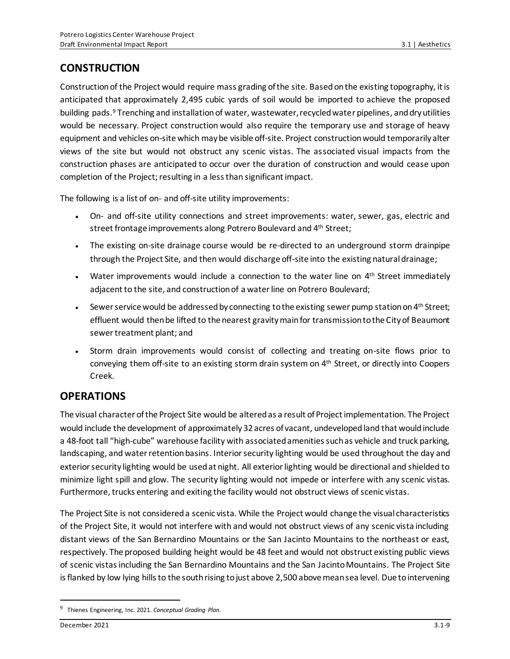## **CONSTRUCTION**

Construction of the Project would require mass grading of the site. Based on the existing topography, it is anticipated that approximately 2,495 cubic yards of soil would be imported to achieve the proposed building pads.<sup>9</sup> Trenching and installation of water, wastewater, recycled water pipelines, and dry utilities would be necessary. Project construction would also require the temporary use and storage of heavy equipment and vehicles on-site which may be visible off-site. Project construction would temporarily alter views of the site but would not obstruct any scenic vistas. The associated visual impacts from the construction phases are anticipated to occur over the duration of construction and would cease upon completion of the Project; resulting in a less than significant impact.

The following is a list of on- and off-site utility improvements:

- On- and off-site utility connections and street improvements: water, sewer, gas, electric and street frontage improvements along Potrero Boulevard and 4<sup>th</sup> Street;
- The existing on-site drainage course would be re-directed to an underground storm drainpipe through the Project Site, and then would discharge off-site into the existing natural drainage;
- Water improvements would include a connection to the water line on 4<sup>th</sup> Street immediately adjacent to the site, and construction of a water line on Potrero Boulevard;
- Sewer service would be addressed by connecting to the existing sewer pump station on 4<sup>th</sup> Street; effluent would then be lifted to the nearest gravity main for transmission to the City of Beaumont sewer treatment plant; and
- Storm drain improvements would consist of collecting and treating on-site flows prior to conveying them off-site to an existing storm drain system on 4<sup>th</sup> Street, or directly into Coopers Creek.

### **OPERATIONS**

The visual character of the Project Site would be altered as a result of Project implementation. The Project would include the development of approximately 32 acres of vacant, undevelopedland that would include a 48-foot tall "high-cube" warehouse facility with associated amenities such as vehicle and truck parking, landscaping, and water retention basins. Interior security lighting would be used throughout the day and exterior security lighting would be used at night. All exterior lighting would be directional and shielded to minimize light spill and glow. The security lighting would not impede or interfere with any scenic vistas. Furthermore, trucks entering and exiting the facility would not obstruct views of scenic vistas.

The Project Site is not considered a scenic vista. While the Project would change the visual characteristics of the Project Site, it would not interfere with and would not obstruct views of any scenic vista including distant views of the San Bernardino Mountains or the San Jacinto Mountains to the northeast or east, respectively. The proposed building height would be 48 feet and would not obstruct existing public views of scenic vistas including the San Bernardino Mountains and the San Jacinto Mountains. The Project Site is flanked by low lying hills to the south rising to just above 2,500 above mean sea level. Due to intervening

<sup>9</sup> Thienes Engineering, Inc. 2021. *Conceptual Grading Plan*.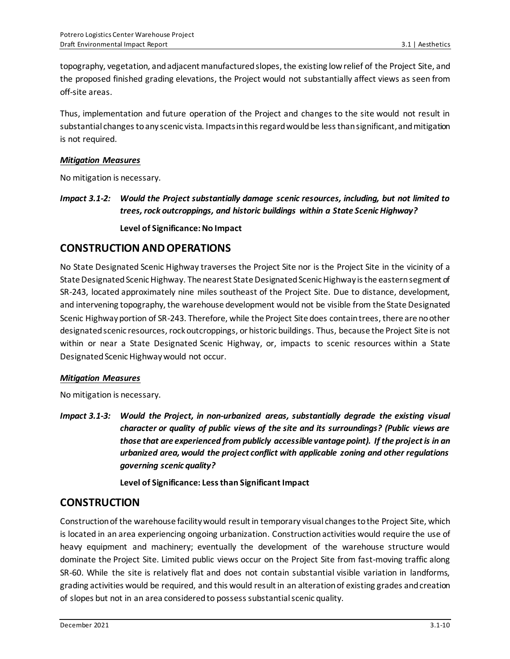topography, vegetation, and adjacent manufactured slopes, the existing low relief of the Project Site, and the proposed finished grading elevations, the Project would not substantially affect views as seen from off-site areas.

Thus, implementation and future operation of the Project and changes to the site would not result in substantial changes to any scenic vista. Impacts in this regard would be less than significant, and mitigation is not required.

#### *Mitigation Measures*

No mitigation is necessary.

*Impact 3.1-2: Would the Project substantially damage scenic resources, including, but not limited to trees, rock outcroppings, and historic buildings within a State Scenic Highway?* **Level of Significance: No Impact**

### **CONSTRUCTION AND OPERATIONS**

No State Designated Scenic Highway traverses the Project Site nor is the Project Site in the vicinity of a State Designated Scenic Highway. The nearest State Designated Scenic Highway is the eastern segment of SR-243, located approximately nine miles southeast of the Project Site. Due to distance, development, and intervening topography, the warehouse development would not be visible from the State Designated Scenic Highway portion of SR-243. Therefore, while the Project Site does contain trees, there are no other designated scenic resources, rock outcroppings, or historic buildings. Thus, because the Project Site is not within or near a State Designated Scenic Highway, or, impacts to scenic resources within a State Designated Scenic Highway would not occur.

#### *Mitigation Measures*

No mitigation is necessary.

*Impact 3.1-3: Would the Project, in non-urbanized areas, substantially degrade the existing visual character or quality of public views of the site and its surroundings? (Public views are those that are experienced from publicly accessible vantage point). If the project is in an urbanized area, would the project conflict with applicable zoning and other regulations governing scenic quality?*

**Level of Significance: Less than Significant Impact**

#### **CONSTRUCTION**

Construction of the warehouse facility would result in temporary visual changes to the Project Site, which is located in an area experiencing ongoing urbanization. Constructionactivities would require the use of heavy equipment and machinery; eventually the development of the warehouse structure would dominate the Project Site. Limited public views occur on the Project Site from fast-moving traffic along SR-60. While the site is relatively flat and does not contain substantial visible variation in landforms, grading activities would be required, and this would result in an alteration of existing grades and creation of slopes but not in an area considered to possess substantial scenic quality.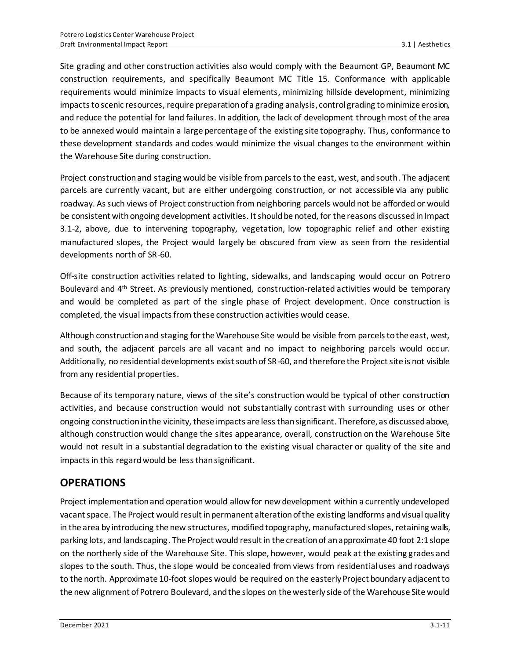Site grading and other construction activities also would comply with the Beaumont GP, Beaumont MC construction requirements, and specifically Beaumont MC Title 15. Conformance with applicable requirements would minimize impacts to visual elements, minimizing hillside development, minimizing impacts toscenic resources, require preparation of a grading analysis, control grading to minimize erosion, and reduce the potential for land failures. In addition, the lack of development through most of the area to be annexed would maintain a large percentage of the existing site topography. Thus, conformance to these development standards and codes would minimize the visual changes to the environment within the Warehouse Site during construction.

Project construction and staging would be visible from parcels to the east, west, and south. The adjacent parcels are currently vacant, but are either undergoing construction, or not accessible via any public roadway. As such views of Project construction from neighboring parcels would not be afforded or would be consistent with ongoing development activities. It should be noted, for the reasons discussed in Impact 3.1-2, above, due to intervening topography, vegetation, low topographic relief and other existing manufactured slopes, the Project would largely be obscured from view as seen from the residential developments north of SR-60.

Off-site construction activities related to lighting, sidewalks, and landscaping would occur on Potrero Boulevard and 4<sup>th</sup> Street. As previously mentioned, construction-related activities would be temporary and would be completed as part of the single phase of Project development. Once construction is completed, the visual impacts from these construction activities would cease.

Although construction and staging for the Warehouse Site would be visible from parcels to the east, west, and south, the adjacent parcels are all vacant and no impact to neighboring parcels would occur. Additionally, no residential developments exist south of SR-60, and therefore the Project site is not visible from any residential properties.

Because of its temporary nature, views of the site's construction would be typical of other construction activities, and because construction would not substantially contrast with surrounding uses or other ongoing construction in the vicinity, these impacts are less than significant. Therefore, as discussed above, although construction would change the sites appearance, overall, construction on the Warehouse Site would not result in a substantial degradation to the existing visual character or quality of the site and impacts in this regard would be less than significant.

## **OPERATIONS**

Project implementation and operation would allow for new development within a currently undeveloped vacantspace. The Project would result in permanent alteration of the existing landforms and visual quality in the area by introducing the new structures, modified topography, manufactured slopes, retaining walls, parking lots, and landscaping. The Project would result in the creation of an approximate 40 foot 2:1 slope on the northerly side of the Warehouse Site. This slope, however, would peak at the existing grades and slopes to the south. Thus, the slope would be concealed from views from residential uses and roadways to the north. Approximate 10-foot slopes would be required on the easterly Project boundary adjacent to the new alignment of Potrero Boulevard, and the slopes on the westerly side of the Warehouse Site would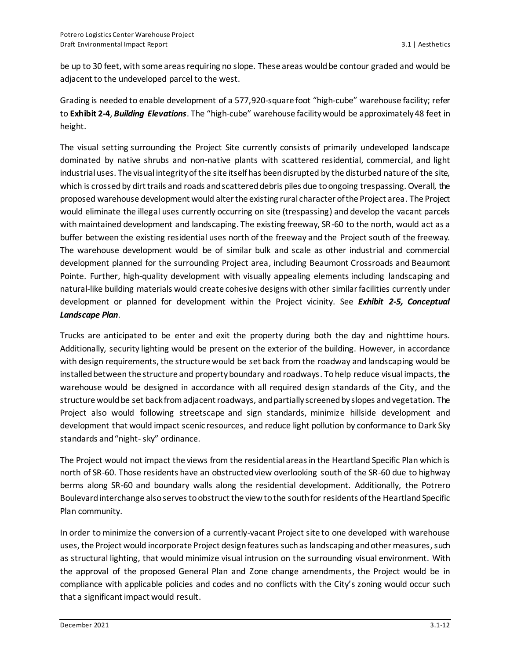be up to 30 feet, with some areas requiring no slope. These areas would be contour graded and would be adjacent to the undeveloped parcel to the west.

Grading is needed to enable development of a 577,920-square foot "high-cube" warehouse facility; refer to **Exhibit 2-4**, *Building Elevations*. The "high-cube" warehouse facility would be approximately 48 feet in height.

The visual setting surrounding the Project Site currently consists of primarily undeveloped landscape dominated by native shrubs and non-native plants with scattered residential, commercial, and light industrial uses. The visual integrity of the site itself has been disrupted by the disturbed nature of the site, which is crossed by dirt trails and roads and scattered debris piles due to ongoing trespassing. Overall, the proposed warehouse development would alter the existing rural character of the Project area. The Project would eliminate the illegal uses currently occurring on site (trespassing) and develop the vacant parcels with maintained development and landscaping. The existing freeway, SR-60 to the north, would act as a buffer between the existing residential uses north of the freeway and the Project south of the freeway. The warehouse development would be of similar bulk and scale as other industrial and commercial development planned for the surrounding Project area, including Beaumont Crossroads and Beaumont Pointe. Further, high-quality development with visually appealing elements including landscaping and natural-like building materials would create cohesive designs with other similar facilities currently under development or planned for development within the Project vicinity. See *Exhibit 2-5, Conceptual Landscape Plan*.

Trucks are anticipated to be enter and exit the property during both the day and nighttime hours. Additionally, security lighting would be present on the exterior of the building. However, in accordance with design requirements, the structure would be set back from the roadway and landscaping would be installed between the structure and property boundary and roadways. To help reduce visual impacts, the warehouse would be designed in accordance with all required design standards of the City, and the structure would be set back from adjacent roadways, and partially screened by slopes and vegetation. The Project also would following streetscape and sign standards, minimize hillside development and development that would impact scenic resources, and reduce light pollution by conformance to Dark Sky standards and "night-sky" ordinance.

The Project would not impact the views from the residential areas in the Heartland Specific Plan which is north of SR-60. Those residents have an obstructed view overlooking south of the SR-60 due to highway berms along SR-60 and boundary walls along the residential development. Additionally, the Potrero Boulevard interchange also serves to obstruct the view to the south for residents of the Heartland Specific Plan community.

In order to minimize the conversion of a currently-vacant Project site to one developed with warehouse uses, the Project would incorporate Project design features such as landscaping and other measures, such as structural lighting, that would minimize visual intrusion on the surrounding visual environment. With the approval of the proposed General Plan and Zone change amendments, the Project would be in compliance with applicable policies and codes and no conflicts with the City's zoning would occur such that a significant impact would result.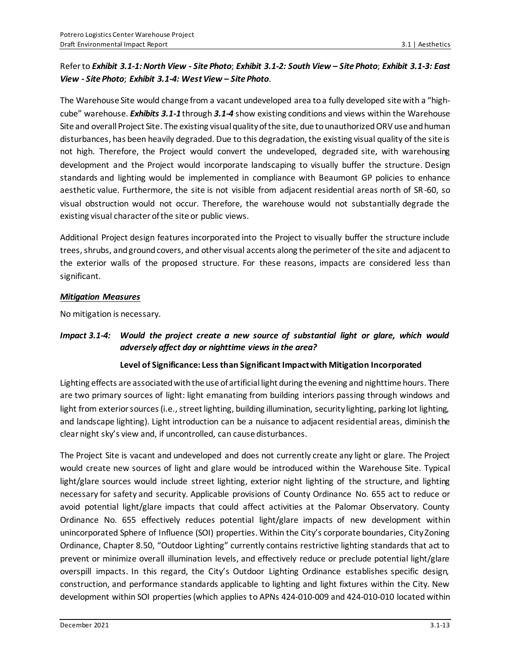#### Refer to *Exhibit 3.1-1:North View - Site Photo*; *Exhibit 3.1-2: South View – Site Photo*; *Exhibit 3.1-3: East View - Site Photo*; *Exhibit 3.1-4: West View – Site Photo*.

The Warehouse Site would change from a vacant undeveloped area to a fully developed site with a "highcube" warehouse. *Exhibits 3.1-1* through *3.1-4* show existing conditions and views within the Warehouse Site and overall Project Site. The existing visual quality of the site, due to unauthorized ORV use and human disturbances, has been heavily degraded. Due to this degradation, the existing visual quality of the site is not high. Therefore, the Project would convert the undeveloped, degraded site, with warehousing development and the Project would incorporate landscaping to visually buffer the structure. Design standards and lighting would be implemented in compliance with Beaumont GP policies to enhance aesthetic value. Furthermore, the site is not visible from adjacent residential areas north of SR-60, so visual obstruction would not occur. Therefore, the warehouse would not substantially degrade the existing visual character of the site or public views.

Additional Project design features incorporated into the Project to visually buffer the structure include trees,shrubs, and ground covers, and other visual accents along the perimeter of the site and adjacent to the exterior walls of the proposed structure. For these reasons, impacts are considered less than significant.

#### *Mitigation Measures*

No mitigation is necessary.

### *Impact 3.1-4: Would the project create a new source of substantial light or glare, which would adversely affect day or nighttime views in the area?*

#### **Level of Significance: Less than Significant Impactwith Mitigation Incorporated**

Lighting effects are associated with the use of artificial light during the evening and nighttime hours. There are two primary sources of light: light emanating from building interiors passing through windows and light from exterior sources (i.e., street lighting, building illumination, security lighting, parking lot lighting, and landscape lighting). Light introduction can be a nuisance to adjacent residential areas, diminish the clear night sky's view and, if uncontrolled, can cause disturbances.

The Project Site is vacant and undeveloped and does not currently create any light or glare. The Project would create new sources of light and glare would be introduced within the Warehouse Site. Typical light/glare sources would include street lighting, exterior night lighting of the structure, and lighting necessary for safety and security. Applicable provisions of County Ordinance No. 655 act to reduce or avoid potential light/glare impacts that could affect activities at the Palomar Observatory. County Ordinance No. 655 effectively reduces potential light/glare impacts of new development within unincorporated Sphere of Influence (SOI) properties. Within the City's corporate boundaries, City Zoning Ordinance, Chapter 8.50, "Outdoor Lighting" currently contains restrictive lighting standards that act to prevent or minimize overall illumination levels, and effectively reduce or preclude potential light/glare overspill impacts. In this regard, the City's Outdoor Lighting Ordinance establishes specific design, construction, and performance standards applicable to lighting and light fixtures within the City. New development within SOI properties (which applies to APNs 424-010-009 and 424-010-010 located within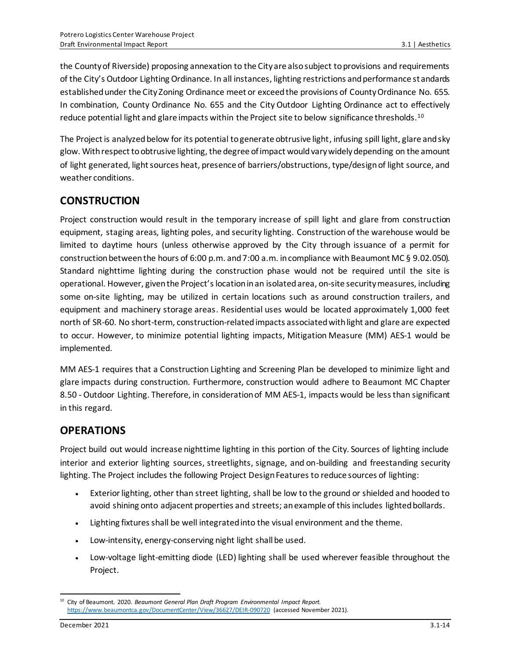the County of Riverside) proposing annexation to the City are also subject to provisions and requirements of the City's Outdoor Lighting Ordinance. In all instances, lighting restrictions and performance standards established under the City Zoning Ordinance meet or exceed the provisions of County Ordinance No. 655. In combination, County Ordinance No. 655 and the City Outdoor Lighting Ordinance act to effectively reduce potential light and glare impacts within the Project site to below significance thresholds.<sup>10</sup>

The Project is analyzed below for its potential to generate obtrusive light, infusing spill light, glare and sky glow. With respect to obtrusive lighting, the degree of impact would vary widely depending on the amount of light generated, light sources heat, presence of barriers/obstructions, type/design of light source, and weather conditions.

## **CONSTRUCTION**

Project construction would result in the temporary increase of spill light and glare from construction equipment, staging areas, lighting poles, and security lighting. Construction of the warehouse would be limited to daytime hours (unless otherwise approved by the City through issuance of a permit for construction between the hours of 6:00 p.m. and 7:00 a.m. in compliance with Beaumont MC § 9.02.050). Standard nighttime lighting during the construction phase would not be required until the site is operational. However, given the Project's location in an isolated area, on-site security measures, including some on-site lighting, may be utilized in certain locations such as around construction trailers, and equipment and machinery storage areas. Residential uses would be located approximately 1,000 feet north of SR-60. No short-term, construction-related impacts associated with light and glare are expected to occur. However, to minimize potential lighting impacts, Mitigation Measure (MM) AES-1 would be implemented.

MM AES-1 requires that a Construction Lighting and Screening Plan be developed to minimize light and glare impacts during construction. Furthermore, construction would adhere to Beaumont MC Chapter 8.50 - Outdoor Lighting. Therefore, in consideration of MM AES-1, impacts would be less than significant in this regard.

## **OPERATIONS**

Project build out would increase nighttime lighting in this portion of the City. Sources of lighting include interior and exterior lighting sources, streetlights, signage, and on-building and freestanding security lighting. The Project includes the following Project Design Features to reduce sources of lighting:

- Exterior lighting, other than street lighting, shall be low to the ground or shielded and hooded to avoid shining onto adjacent properties and streets; an example of this includes lighted bollards.
- Lighting fixtures shall be well integrated into the visual environment and the theme.
- Low-intensity, energy-conserving night light shall be used.
- Low-voltage light-emitting diode (LED) lighting shall be used wherever feasible throughout the Project.

<sup>10</sup> City of Beaumont. 2020. *Beaumont General Plan Draft Program Environmental Impact Report.*  <https://www.beaumontca.gov/DocumentCenter/View/36627/DEIR-090720> (accessed November 2021).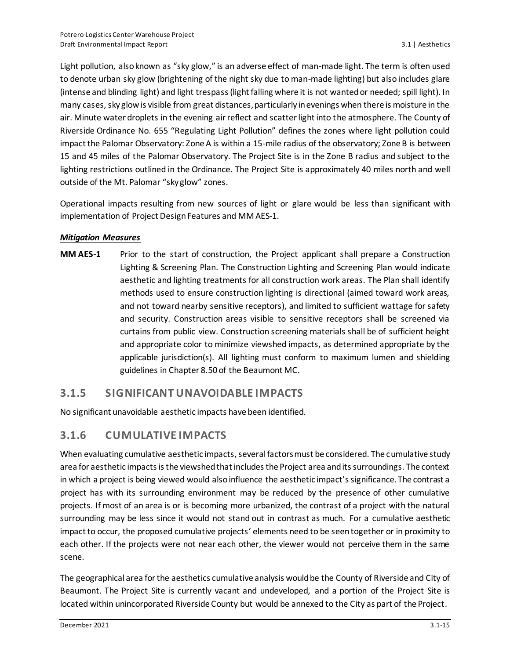Light pollution, also known as "sky glow," is an adverse effect of man-made light. The term is often used to denote urban sky glow (brightening of the night sky due to man-made lighting) but also includes glare (intense and blinding light) and light trespass (light falling where it is not wanted or needed; spill light). In many cases, sky glow is visible from great distances, particularly in evenings when there is moisture in the air. Minute water droplets in the evening air reflect and scatter light into the atmosphere. The County of Riverside Ordinance No. 655 "Regulating Light Pollution" defines the zones where light pollution could impact the Palomar Observatory: Zone A is within a 15-mile radius of the observatory; Zone B is between 15 and 45 miles of the Palomar Observatory. The Project Site is in the Zone B radius and subject to the lighting restrictions outlined in the Ordinance. The Project Site is approximately 40 miles north and well outside of the Mt. Palomar "sky glow" zones.

Operational impacts resulting from new sources of light or glare would be less than significant with implementation of Project Design Features and MM AES-1.

#### *Mitigation Measures*

**MM AES-1** Prior to the start of construction, the Project applicant shall prepare a Construction Lighting & Screening Plan. The Construction Lighting and Screening Plan would indicate aesthetic and lighting treatments for all construction work areas. The Plan shall identify methods used to ensure construction lighting is directional (aimed toward work areas, and not toward nearby sensitive receptors), and limited to sufficient wattage for safety and security. Construction areas visible to sensitive receptors shall be screened via curtains from public view. Construction screening materials shall be of sufficient height and appropriate color to minimize viewshed impacts, as determined appropriate by the applicable jurisdiction(s). All lighting must conform to maximum lumen and shielding guidelines in Chapter 8.50 of the Beaumont MC.

### **3.1.5 SIGNIFICANT UNAVOIDABLE IMPACTS**

No significant unavoidable aesthetic impacts have been identified.

### **3.1.6 CUMULATIVE IMPACTS**

When evaluating cumulative aesthetic impacts, several factors must be considered. The cumulative study area for aesthetic impacts is the viewshed that includes the Project area and its surroundings. The context in which a project is being viewed would also influence the aesthetic impact's significance. The contrast a project has with its surrounding environment may be reduced by the presence of other cumulative projects. If most of an area is or is becoming more urbanized, the contrast of a project with the natural surrounding may be less since it would not stand out in contrast as much. For a cumulative aesthetic impact to occur, the proposed cumulative projects' elements need to be seen together or in proximity to each other. If the projects were not near each other, the viewer would not perceive them in the same scene.

The geographical area for the aesthetics cumulative analysis would be the County of Riverside and City of Beaumont. The Project Site is currently vacant and undeveloped, and a portion of the Project Site is located within unincorporated Riverside County but would be annexed to the City as part of the Project.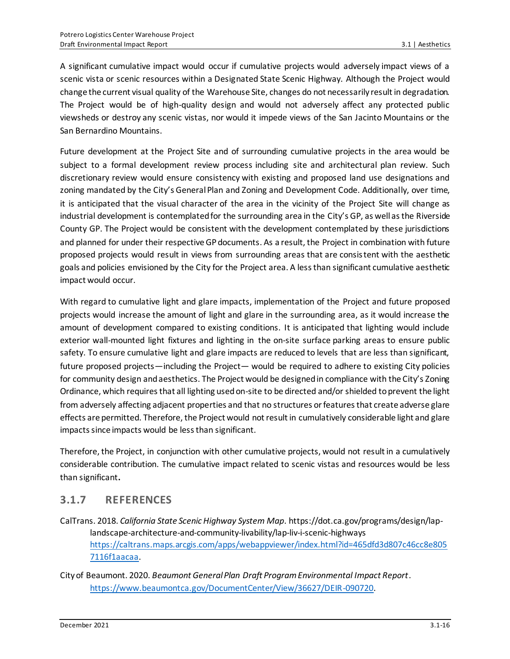A significant cumulative impact would occur if cumulative projects would adversely impact views of a scenic vista or scenic resources within a Designated State Scenic Highway. Although the Project would change the current visual quality of the Warehouse Site, changes do not necessarily result in degradation. The Project would be of high-quality design and would not adversely affect any protected public viewsheds or destroy any scenic vistas, nor would it impede views of the San Jacinto Mountains or the San Bernardino Mountains.

Future development at the Project Site and of surrounding cumulative projects in the area would be subject to a formal development review process including site and architectural plan review. Such discretionary review would ensure consistency with existing and proposed land use designations and zoning mandated by the City's General Plan and Zoning and Development Code. Additionally, over time, it is anticipated that the visual character of the area in the vicinity of the Project Site will change as industrial development is contemplated for the surrounding area in the City's GP, as well as the Riverside County GP. The Project would be consistent with the development contemplated by these jurisdictions and planned for under their respective GP documents. As a result, the Project in combination with future proposed projects would result in views from surrounding areas that are consistent with the aesthetic goals and policies envisioned by the City for the Project area. A less than significant cumulative aesthetic impact would occur.

With regard to cumulative light and glare impacts, implementation of the Project and future proposed projects would increase the amount of light and glare in the surrounding area, as it would increase the amount of development compared to existing conditions. It is anticipated that lighting would include exterior wall-mounted light fixtures and lighting in the on-site surface parking areas to ensure public safety. To ensure cumulative light and glare impacts are reduced to levels that are less than significant, future proposed projects—including the Project— would be required to adhere to existing City policies for community design and aesthetics. The Project would be designed in compliance with the City's Zoning Ordinance, which requires that all lighting used on-site to be directed and/or shielded to prevent the light from adversely affecting adjacent properties and that no structures or features that create adverse glare effects are permitted. Therefore, the Project would not result in cumulatively considerable light and glare impacts since impacts would be less than significant.

Therefore, the Project, in conjunction with other cumulative projects, would not result in a cumulatively considerable contribution. The cumulative impact related to scenic vistas and resources would be less than significant**.**

### **3.1.7 REFERENCES**

- CalTrans. 2018. *California State Scenic Highway System Map*. https://dot.ca.gov/programs/design/laplandscape-architecture-and-community-livability/lap-liv-i-scenic-highways [https://caltrans.maps.arcgis.com/apps/webappviewer/index.html?id=465dfd3d807c46cc8e805](https://caltrans.maps.arcgis.com/apps/webappviewer/index.html?id=465dfd3d807c46cc8e8057116f1aacaa) [7116f1aacaa.](https://caltrans.maps.arcgis.com/apps/webappviewer/index.html?id=465dfd3d807c46cc8e8057116f1aacaa)
- City of Beaumont. 2020. *Beaumont General Plan Draft Program Environmental Impact Report*. <https://www.beaumontca.gov/DocumentCenter/View/36627/DEIR-090720>.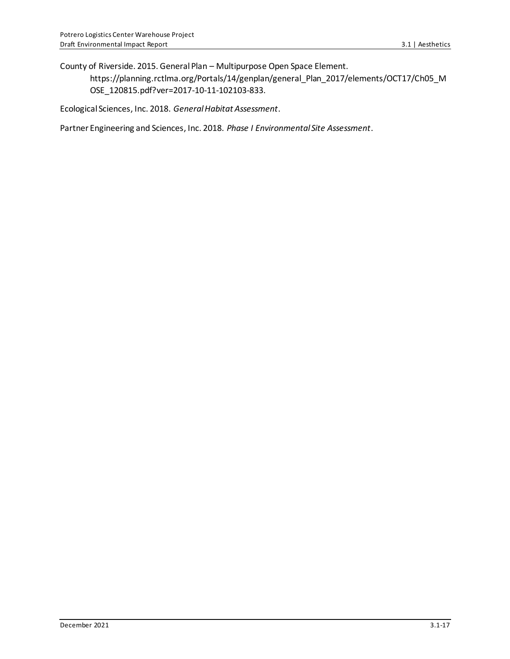County of Riverside. 2015. General Plan – Multipurpose Open Space Element.

https://planning.rctlma.org/Portals/14/genplan/general\_Plan\_2017/elements/OCT17/Ch05\_M OSE\_120815.pdf?ver=2017-10-11-102103-833.

Ecological Sciences, Inc. 2018. *General Habitat Assessment*.

Partner Engineering and Sciences, Inc. 2018. *Phase I Environmental Site Assessment*.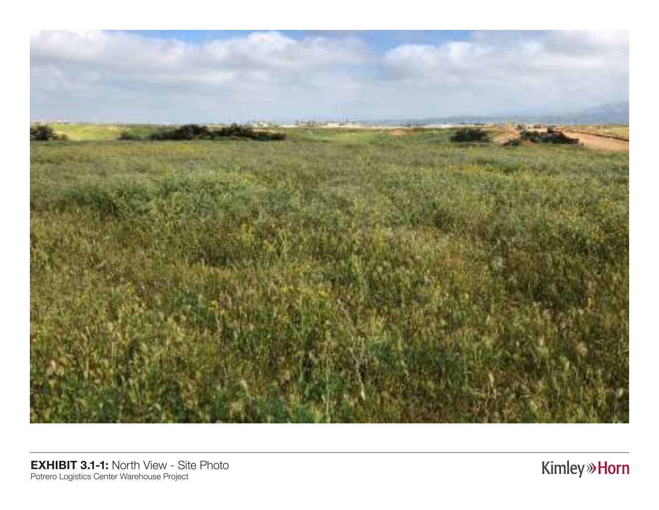

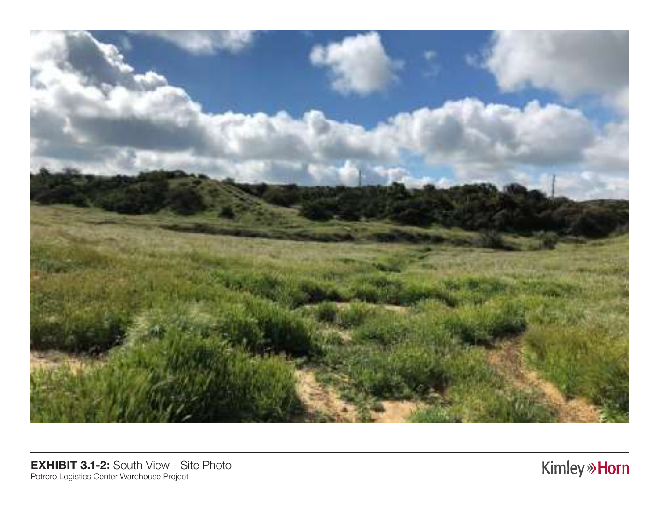

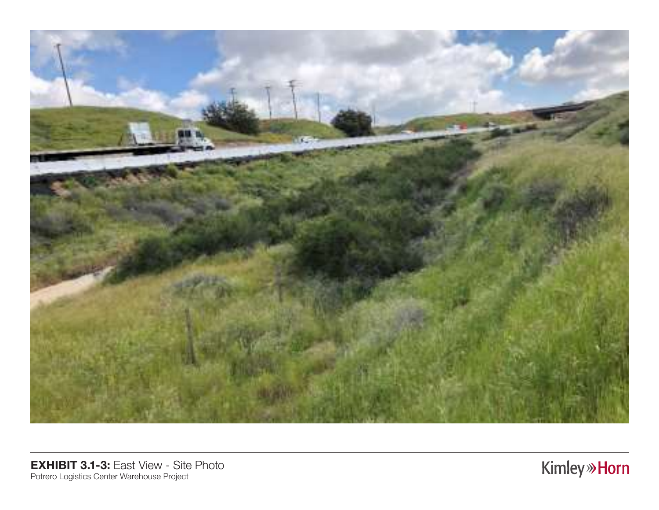